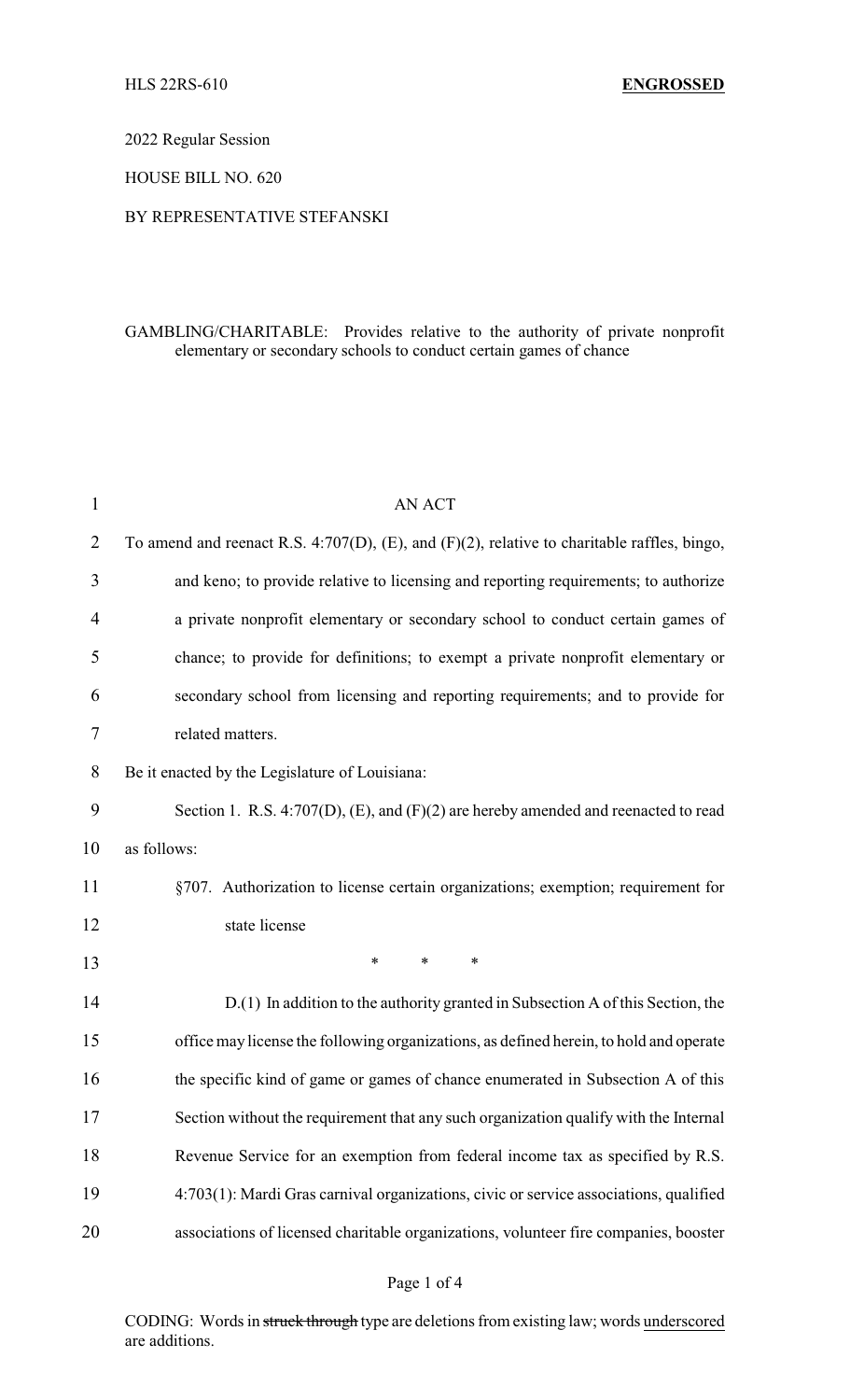2022 Regular Session

HOUSE BILL NO. 620

## BY REPRESENTATIVE STEFANSKI

## GAMBLING/CHARITABLE: Provides relative to the authority of private nonprofit elementary or secondary schools to conduct certain games of chance

| $\mathbf{1}$ | <b>AN ACT</b>                                                                                     |
|--------------|---------------------------------------------------------------------------------------------------|
| 2            | To amend and reenact R.S. 4:707(D), $(E)$ , and $(F)(2)$ , relative to charitable raffles, bingo, |
| 3            | and keno; to provide relative to licensing and reporting requirements; to authorize               |
| 4            | a private nonprofit elementary or secondary school to conduct certain games of                    |
| 5            | chance; to provide for definitions; to exempt a private nonprofit elementary or                   |
| 6            | secondary school from licensing and reporting requirements; and to provide for                    |
| 7            | related matters.                                                                                  |
| 8            | Be it enacted by the Legislature of Louisiana:                                                    |
| 9            | Section 1. R.S. 4:707(D), (E), and (F)(2) are hereby amended and reenacted to read                |
| 10           | as follows:                                                                                       |
| 11           | §707. Authorization to license certain organizations; exemption; requirement for                  |
| 12           | state license                                                                                     |
| 13           | $\ast$<br>$\ast$<br>$\ast$                                                                        |
| 14           | D.(1) In addition to the authority granted in Subsection A of this Section, the                   |
| 15           | office may license the following organizations, as defined herein, to hold and operate            |
| 16           | the specific kind of game or games of chance enumerated in Subsection A of this                   |
| 17           | Section without the requirement that any such organization qualify with the Internal              |
| 18           | Revenue Service for an exemption from federal income tax as specified by R.S.                     |
| 19           | 4:703(1): Mardi Gras carnival organizations, civic or service associations, qualified             |
| 20           | associations of licensed charitable organizations, volunteer fire companies, booster              |
|              |                                                                                                   |

## Page 1 of 4

CODING: Words in struck through type are deletions from existing law; words underscored are additions.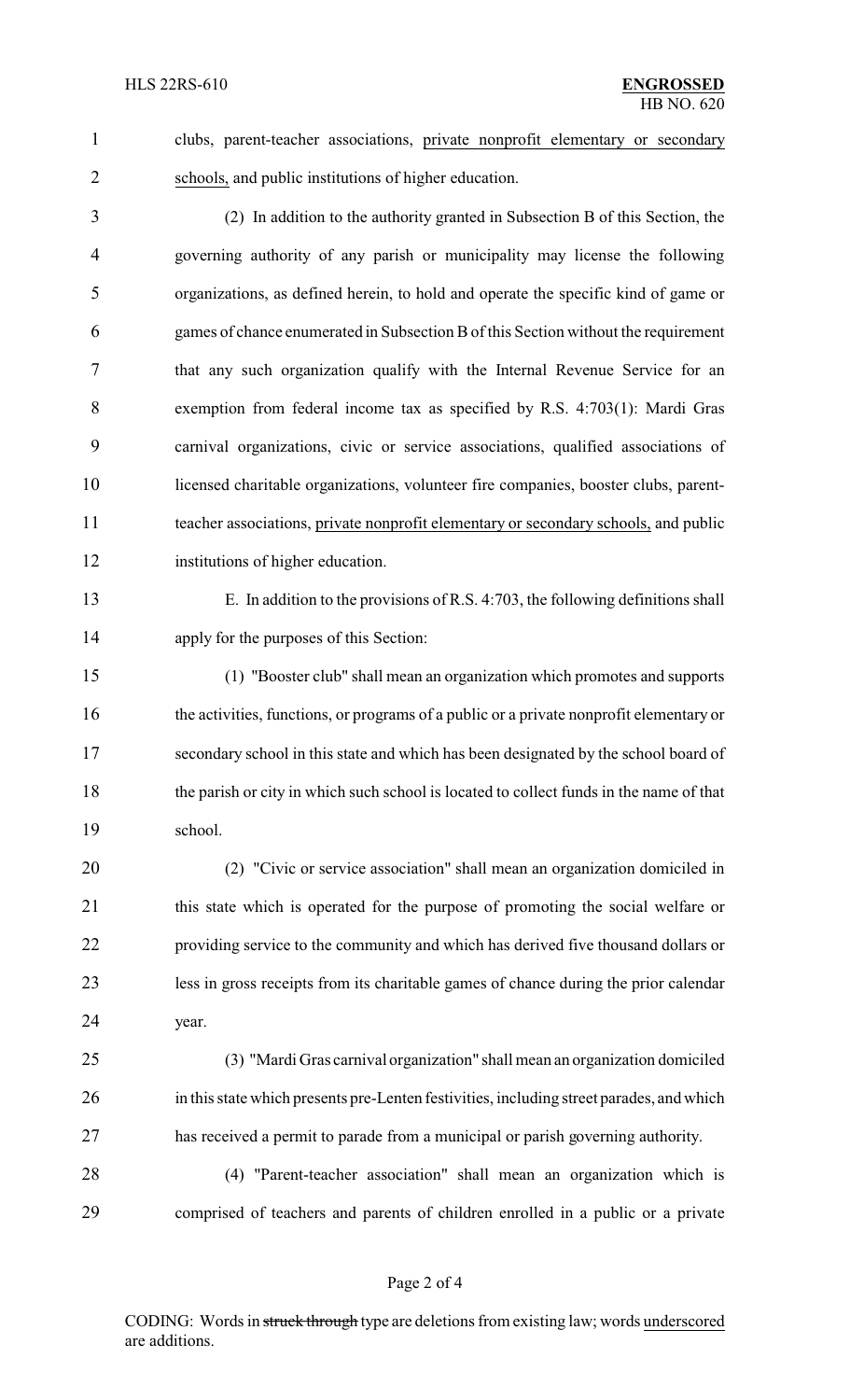clubs, parent-teacher associations, private nonprofit elementary or secondary schools, and public institutions of higher education.

 (2) In addition to the authority granted in Subsection B of this Section, the governing authority of any parish or municipality may license the following organizations, as defined herein, to hold and operate the specific kind of game or games of chance enumerated in Subsection Bof this Section without the requirement that any such organization qualify with the Internal Revenue Service for an exemption from federal income tax as specified by R.S. 4:703(1): Mardi Gras carnival organizations, civic or service associations, qualified associations of licensed charitable organizations, volunteer fire companies, booster clubs, parent- teacher associations, private nonprofit elementary or secondary schools, and public institutions of higher education.

 E. In addition to the provisions of R.S. 4:703, the following definitions shall apply for the purposes of this Section:

 (1) "Booster club" shall mean an organization which promotes and supports 16 the activities, functions, or programs of a public or a private nonprofit elementary or secondary school in this state and which has been designated by the school board of the parish or city in which such school is located to collect funds in the name of that school.

 (2) "Civic or service association" shall mean an organization domiciled in 21 this state which is operated for the purpose of promoting the social welfare or providing service to the community and which has derived five thousand dollars or less in gross receipts from its charitable games of chance during the prior calendar year.

 (3) "Mardi Gras carnival organization" shall mean an organization domiciled in this state which presents pre-Lenten festivities, including street parades, and which has received a permit to parade from a municipal or parish governing authority.

 (4) "Parent-teacher association" shall mean an organization which is comprised of teachers and parents of children enrolled in a public or a private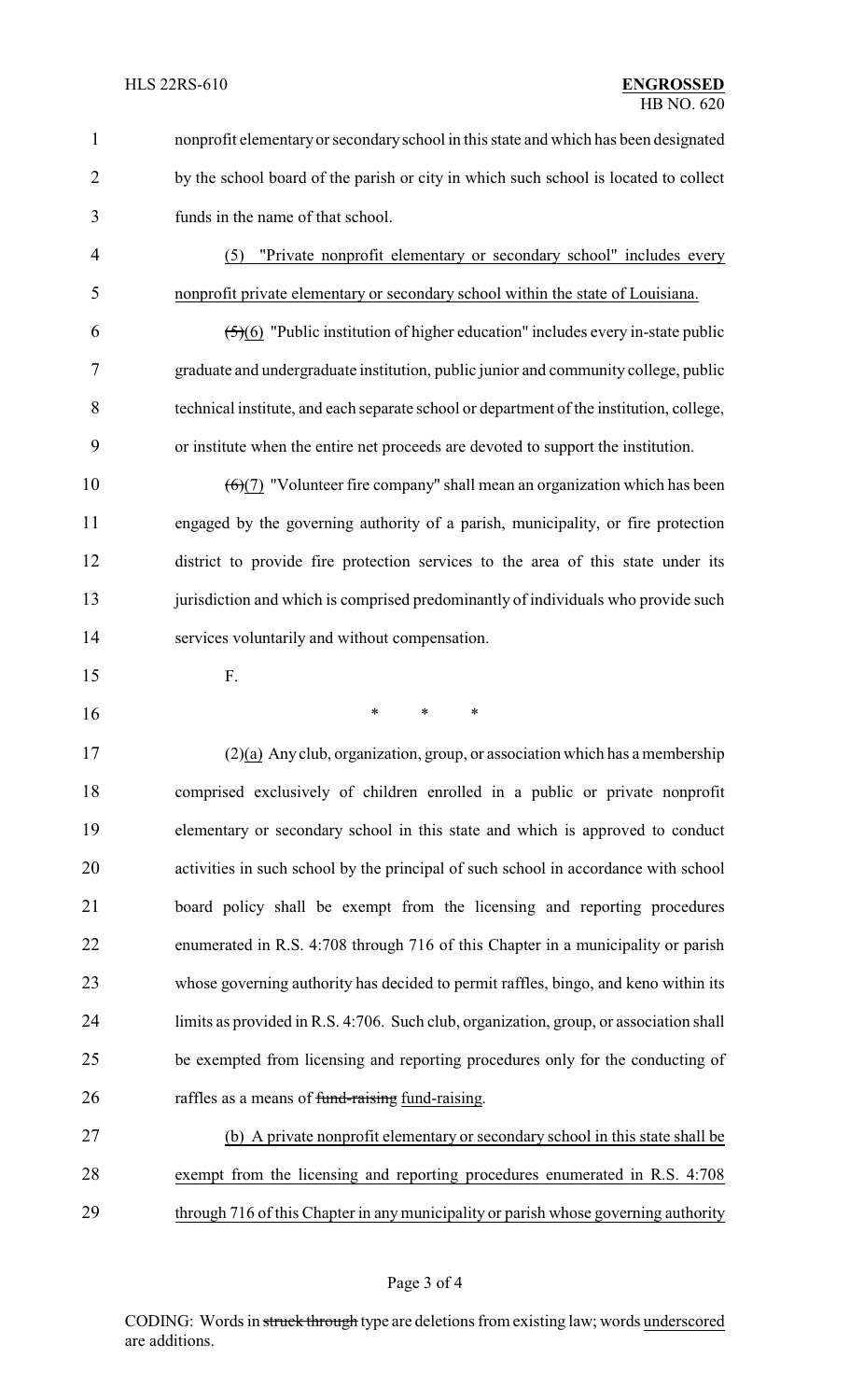nonprofit elementary or secondaryschool in this state and which has been designated 2 by the school board of the parish or city in which such school is located to collect funds in the name of that school. (5) "Private nonprofit elementary or secondary school" includes every nonprofit private elementary or secondary school within the state of Louisiana.  $(5)(6)$  "Public institution of higher education" includes every in-state public graduate and undergraduate institution, public junior and community college, public

 technical institute, and each separate school or department of the institution, college, or institute when the entire net proceeds are devoted to support the institution.

 $(6)(7)$  "Volunteer fire company" shall mean an organization which has been engaged by the governing authority of a parish, municipality, or fire protection district to provide fire protection services to the area of this state under its 13 jurisdiction and which is comprised predominantly of individuals who provide such services voluntarily and without compensation.

- F.
- \* \* \*

 (2)(a) Any club, organization, group, or association which has a membership comprised exclusively of children enrolled in a public or private nonprofit elementary or secondary school in this state and which is approved to conduct activities in such school by the principal of such school in accordance with school board policy shall be exempt from the licensing and reporting procedures enumerated in R.S. 4:708 through 716 of this Chapter in a municipality or parish whose governing authority has decided to permit raffles, bingo, and keno within its limits as provided in R.S. 4:706. Such club, organization, group, or association shall be exempted from licensing and reporting procedures only for the conducting of 26 raffles as a means of fund-raising fund-raising.

 (b) A private nonprofit elementary or secondary school in this state shall be exempt from the licensing and reporting procedures enumerated in R.S. 4:708 through 716 of this Chapter in any municipality or parish whose governing authority